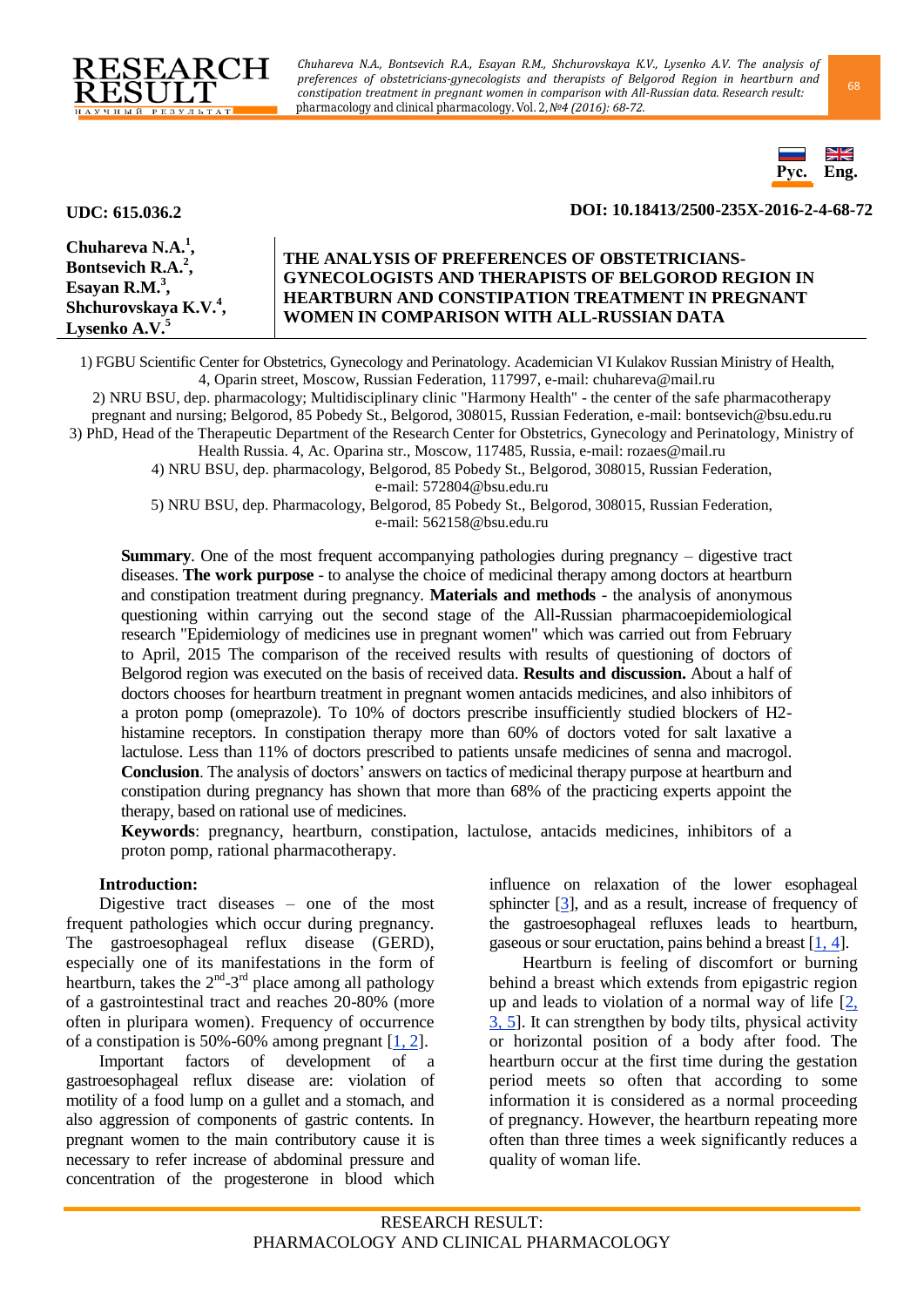

*Chuhareva N.A., Bontsevich R.A., Esayan R.M., Shchurovskaya K.V., Lysenko A.V. The analysis of preferences of obstetricians-gynecologists and therapists of Belgorod Region in heartburn and constipation treatment in pregnant women in comparison with All-Russian data. Research result:* <sup>68</sup> *pharmacology and clinical pharmacology. Vol. 2, №4 (2016): 68-72.*



### **UDC: 615.036.2 DOI: 10.18413/2500-235X-2016-2-4-68-72**

| Chuhareva N.A. $1$ ,              | THE ANALYSIS OF PREFERENCES OF OBSTETRICIANS-             |
|-----------------------------------|-----------------------------------------------------------|
| Bontsevich R.A. <sup>2</sup> ,    | <b>GYNECOLOGISTS AND THERAPISTS OF BELGOROD REGION IN</b> |
| Esayan R.M. $3$ ,                 | <b>HEARTBURN AND CONSTIPATION TREATMENT IN PREGNANT</b>   |
| Shchurovskaya K.V. <sup>4</sup> , | WOMEN IN COMPARISON WITH ALL-RUSSIAN DATA                 |
| Lysenko $A.V.^5$                  |                                                           |

1) FGBU Scientific Center for Obstetrics, Gynecology and Perinatology. Academician VI Kulakov Russian Ministry of Health, 4, Oparin street, Moscow, Russian Federation, 117997, e-mail: chuhareva@mail.ru

2) NRU BSU, dep. pharmacology; Multidisciplinary clinic "Harmony Health" - the center of the safe pharmacotherapy pregnant and nursing; Belgorod, 85 Pobedy St., Belgorod, 308015, Russian Federation, e-mail: [bontsevich@bsu.edu.ru](mailto:bontsevich@bsu.edu.ru) 3) PhD, Head of the Therapeutic Department of the Research Center for Obstetrics, Gynecology and Perinatology, Ministry of

Health Russia. 4, Ac. Oparina str., Moscow, 117485, Russia, e-mail: [rozaes@mail.ru](mailto:rozaes@mail.ru)

4) NRU BSU, dep. pharmacology, Belgorod, 85 Pobedy St., Belgorod, 308015, Russian Federation, e-mail: 572804@bsu.edu.ru

5) NRU BSU, dep. Pharmacology, Belgorod, 85 Pobedy St., Belgorod, 308015, Russian Federation, e-mail: 562158@bsu.edu.ru

**Summary**. One of the most frequent accompanying pathologies during pregnancy – digestive tract diseases. **The work purpose** - to analyse the choice of medicinal therapy among doctors at heartburn and constipation treatment during pregnancy. **Materials and methods** - the analysis of anonymous questioning within carrying out the second stage of the All-Russian pharmacoepidemiological research "Epidemiology of medicines use in pregnant women" which was carried out from February to April, 2015 The comparison of the received results with results of questioning of doctors of Belgorod region was executed on the basis of received data. **Results and discussion.** About a half of doctors chooses for heartburn treatment in pregnant women antacids medicines, and also inhibitors of a proton pomp (omeprazole). To 10% of doctors prescribe insufficiently studied blockers of H2 histamine receptors. In constipation therapy more than 60% of doctors voted for salt laxative a lactulose. Less than 11% of doctors prescribed to patients unsafe medicines of senna and macrogol. **Conclusion**. The analysis of doctors' answers on tactics of medicinal therapy purpose at heartburn and constipation during pregnancy has shown that more than 68% of the practicing experts appoint the therapy, based on rational use of medicines.

**Keywords**: pregnancy, heartburn, constipation, lactulose, antacids medicines, inhibitors of a proton pomp, rational pharmacotherapy.

# **Introduction:**

Digestive tract diseases – one of the most frequent pathologies which occur during pregnancy. The gastroesophageal reflux disease (GERD), especially one of its manifestations in the form of heartburn, takes the  $2^{nd}$ -3<sup>rd</sup> place among all pathology of a gastrointestinal tract and reaches 20-80% (more often in pluripara women). Frequency of occurrence of a constipation is 50%-60% among pregnant  $[1, 2]$  $[1, 2]$ .

Important factors of development of a gastroesophageal reflux disease are: violation of motility of a food lump on a gullet and a stomach, and also aggression of components of gastric contents. In pregnant women to the main contributory cause it is necessary to refer increase of abdominal pressure and concentration of the progesterone in blood which influence on relaxation of the lower esophageal sphincter [\[3\]](#page-4-1), and as a result, increase of frequency of the gastroesophageal refluxes leads to heartburn, gaseous or sour eructation, pains behind a breast [\[1,](#page-3-0) [4\]](#page-4-2).

Heartburn is feeling of discomfort or burning behind a breast which extends from epigastric region up and leads to violation of a normal way of life [\[2,](#page-4-0) [3,](#page-4-1) [5\]](#page-4-3). It can strengthen by body tilts, physical activity or horizontal position of a body after food. The heartburn occur at the first time during the gestation period meets so often that according to some information it is considered as a normal proceeding of pregnancy. However, the heartburn repeating more often than three times a week significantly reduces a quality of woman life.

RESEARCH RESULT: PHARMACOLOGY AND CLINICAL PHARMACOLOGY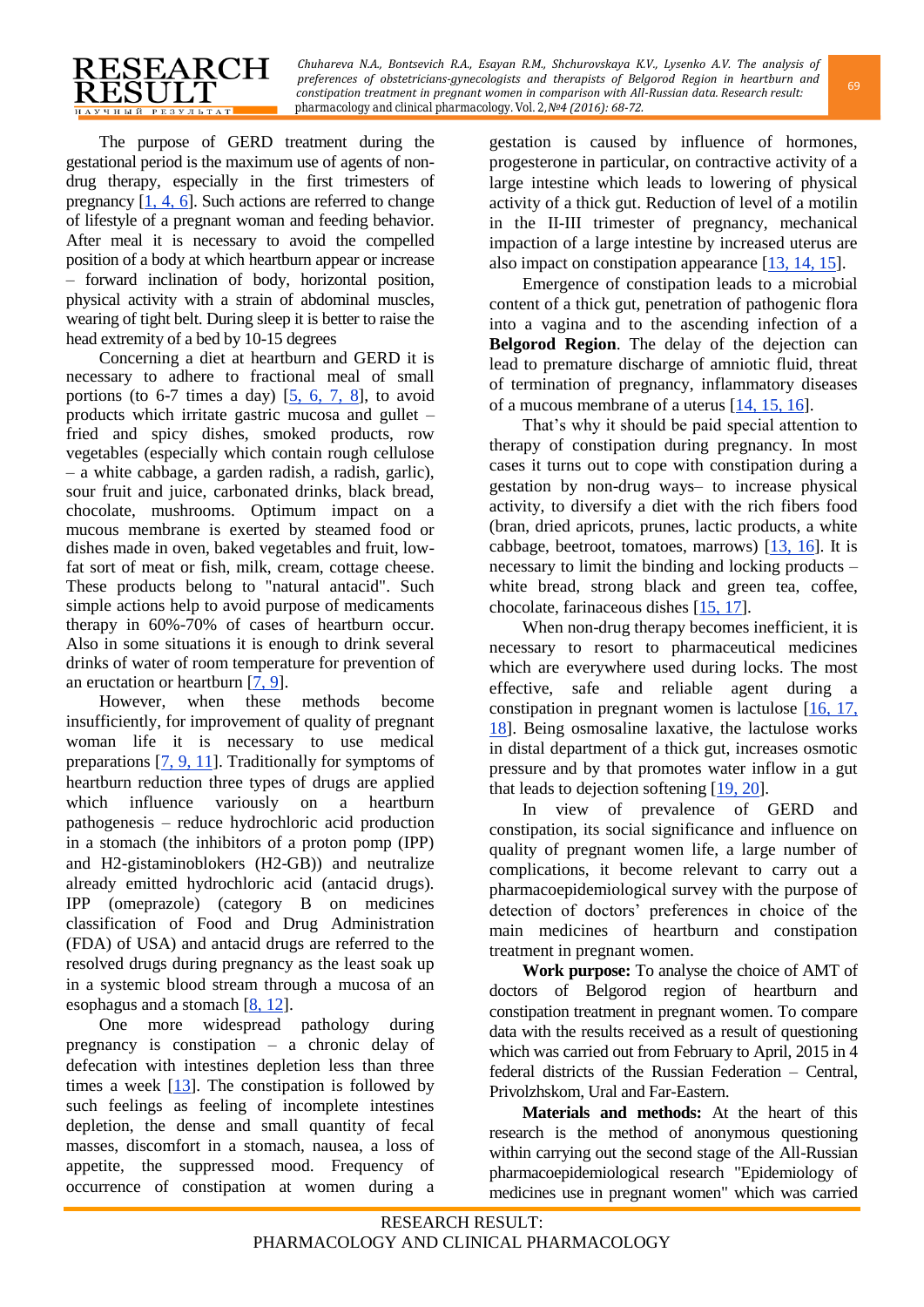

*Chuhareva N.A., Bontsevich R.A., Esayan R.M., Shchurovskaya K.V., Lysenko A.V. The analysis of preferences of obstetricians-gynecologists and therapists of Belgorod Region in heartburn and* <sup>69</sup> *constipation treatment in pregnant women in comparison with All-Russian data. Research result: pharmacology and clinical pharmacology. Vol. 2, №4 (2016): 68-72.*

The purpose of GERD treatment during the gestational period is the maximum use of agents of nondrug therapy, especially in the first trimesters of pregnancy  $[1, 4, 6]$  $[1, 4, 6]$  $[1, 4, 6]$ . Such actions are referred to change of lifestyle of a pregnant woman and feeding behavior. After meal it is necessary to avoid the compelled position of a body at which heartburn appear or increase – forward inclination of body, horizontal position, physical activity with a strain of abdominal muscles, wearing of tight belt. During sleep it is better to raise the head extremity of a bed by 10-15 degrees

Concerning a diet at heartburn and GERD it is necessary to adhere to fractional meal of small portions (to  $6-7$  times a day)  $[5, 6, 7, 8]$  $[5, 6, 7, 8]$  $[5, 6, 7, 8]$  $[5, 6, 7, 8]$ , to avoid products which irritate gastric mucosa and gullet – fried and spicy dishes, smoked products, row vegetables (especially which contain rough cellulose – a white cabbage, a garden radish, a radish, garlic), sour fruit and juice, carbonated drinks, black bread, chocolate, mushrooms. Optimum impact on a mucous membrane is exerted by steamed food or dishes made in oven, baked vegetables and fruit, lowfat sort of meat or fish, milk, cream, cottage cheese. These products belong to "natural antacid". Such simple actions help to avoid purpose of medicaments therapy in 60%-70% of cases of heartburn occur. Also in some situations it is enough to drink several drinks of water of room temperature for prevention of an eructation or heartburn [\[7,](#page-4-5) [9\]](#page-4-7).

However, when these methods become insufficiently, for improvement of quality of pregnant woman life it is necessary to use medical preparations [\[7,](#page-4-5) [9,](#page-4-7) [11\]](#page-4-8). Traditionally for symptoms of heartburn reduction three types of drugs are applied which influence variously on a heartburn pathogenesis – reduce hydrochloric acid production in a stomach (the inhibitors of a proton pomp (IPP) and H2-gistaminoblokers (H2-GB)) and neutralize already emitted hydrochloric acid (antacid drugs). IPP (omeprazole) (category B on medicines classification of Food and Drug Administration (FDA) of USA) and antacid drugs are referred to the resolved drugs during pregnancy as the least soak up in a systemic blood stream through a mucosa of an esophagus and a stomach [\[8,](#page-4-6) [12\]](#page-4-9).

One more widespread pathology during pregnancy is constipation – a chronic delay of defecation with intestines depletion less than three times a week  $[13]$ . The constipation is followed by such feelings as feeling of incomplete intestines depletion, the dense and small quantity of fecal masses, discomfort in a stomach, nausea, a loss of appetite, the suppressed mood. Frequency of occurrence of constipation at women during a

gestation is caused by influence of hormones, progesterone in particular, on contractive activity of a large intestine which leads to lowering of physical activity of a thick gut. Reduction of level of a motilin in the II-III trimester of pregnancy, mechanical impaction of a large intestine by increased uterus are also impact on constipation appearance [\[13,](#page-4-10) [14,](#page-4-11) [15\]](#page-4-12).

Emergence of constipation leads to a microbial content of a thick gut, penetration of pathogenic flora into a vagina and to the ascending infection of a **Belgorod Region**. The delay of the dejection can lead to premature discharge of amniotic fluid, threat of termination of pregnancy, inflammatory diseases of a mucous membrane of a uterus [\[14,](#page-4-11) [15,](#page-4-12) [16\]](#page-4-13).

That's why it should be paid special attention to therapy of constipation during pregnancy. In most cases it turns out to cope with constipation during a gestation by non-drug ways– to increase physical activity, to diversify a diet with the rich fibers food (bran, dried apricots, prunes, lactic products, a white cabbage, beetroot, tomatoes, marrows) [\[13,](#page-4-10) [16\]](#page-4-13). It is necessary to limit the binding and locking products – white bread, strong black and green tea, coffee, chocolate, farinaceous dishes [\[15,](#page-4-12) [17\]](#page-4-14).

When non-drug therapy becomes inefficient, it is necessary to resort to pharmaceutical medicines which are everywhere used during locks. The most effective, safe and reliable agent during a constipation in pregnant women is lactulose [\[16,](#page-4-13) [17,](#page-4-14) [18\]](#page-4-15). Being osmosaline laxative, the lactulose works in distal department of a thick gut, increases osmotic pressure and by that promotes water inflow in a gut that leads to dejection softening  $[19, 20]$  $[19, 20]$ .

In view of prevalence of GERD and constipation, its social significance and influence on quality of pregnant women life, a large number of complications, it become relevant to carry out a pharmacoepidemiological survey with the purpose of detection of doctors' preferences in choice of the main medicines of heartburn and constipation treatment in pregnant women.

**Work purpose:** To analyse the choice of AMT of doctors of Belgorod region of heartburn and constipation treatment in pregnant women. To compare data with the results received as a result of questioning which was carried out from February to April, 2015 in 4 federal districts of the Russian Federation – Central, Privolzhskom, Ural and Far-Eastern.

**Materials and methods:** At the heart of this research is the method of anonymous questioning within carrying out the second stage of the All-Russian pharmacoepidemiological research "Epidemiology of medicines use in pregnant women" which was carried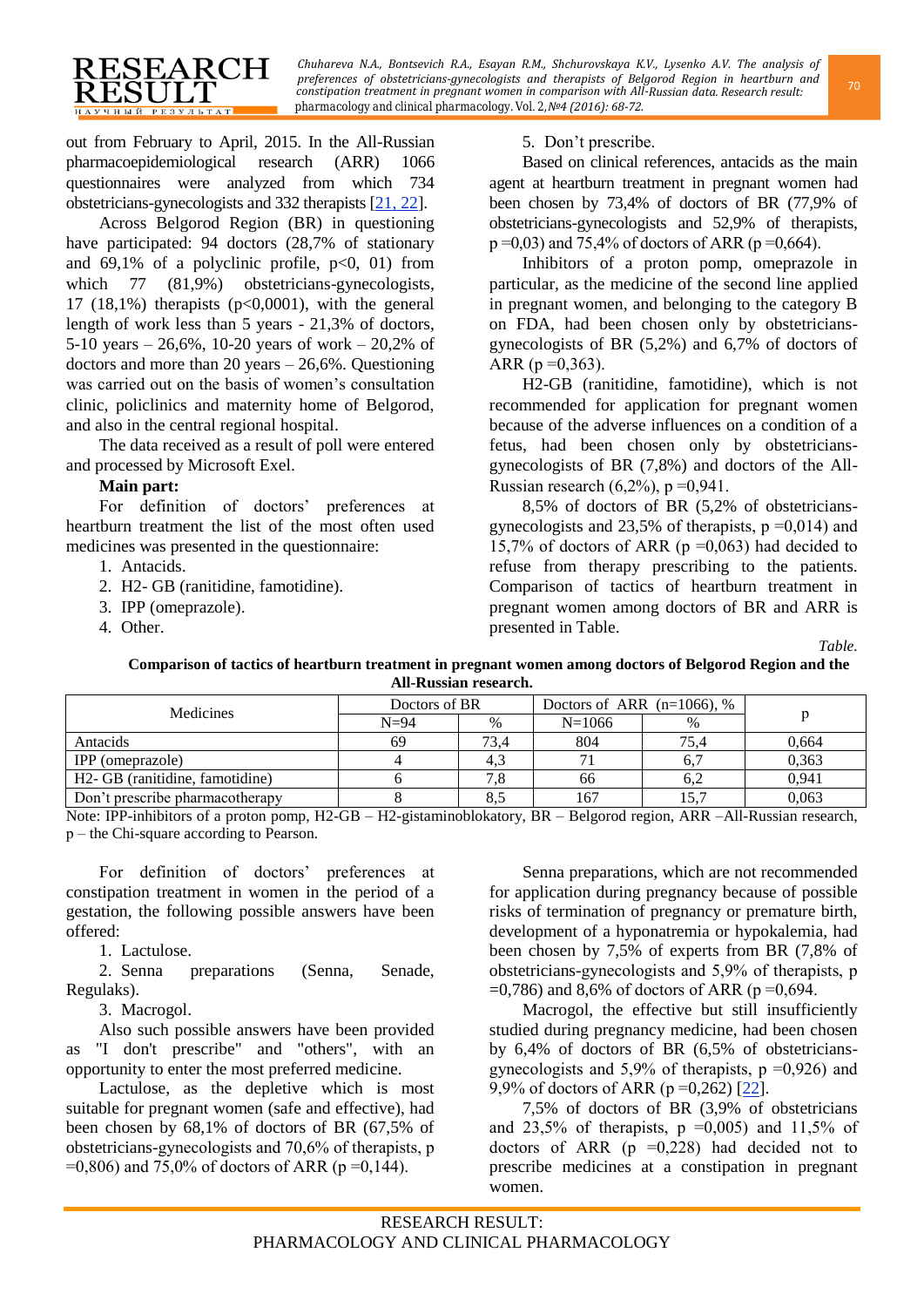

*Chuhareva N.A., Bontsevich R.A., Esayan R.M., Shchurovskaya K.V., Lysenko A.V. The analysis of preferences of obstetricians-gynecologists and therapists of Belgorod Region in heartburn and pharmacology and clinical pharmacology. Vol. 2, №4 (2016): 68-72. constipation treatment in pregnant women in comparison with All-Russian data. Research result:* 

out from February to April, 2015. In the All-Russian pharmacoepidemiological research (ARR) 1066 questionnaires were analyzed from which 734 obstetricians-gynecologists and 332 therapists [\[21,](#page-4-18) [22\]](#page-4-19).

Across Belgorod Region (BR) in questioning have participated: 94 doctors (28,7% of stationary and  $69,1\%$  of a polyclinic profile,  $p<0$ , 01) from which 77 (81,9%) obstetricians-gynecologists, 17 (18,1%) therapists  $(p<0,0001)$ , with the general length of work less than 5 years - 21,3% of doctors, 5-10 years – 26,6%, 10-20 years of work – 20,2% of doctors and more than 20 years – 26,6%. Questioning was carried out on the basis of women's consultation clinic, policlinics and maternity home of Belgorod, and also in the central regional hospital.

The data received as a result of poll were entered and processed by Microsoft Exel.

### **Main part:**

For definition of doctors' preferences at heartburn treatment the list of the most often used medicines was presented in the questionnaire:

- 1. Antacids.
- 2. H2- GB (ranitidine, famotidine).
- 3. IPP (omeprazole).
- 4. Other.

5. Don't prescribe.

Based on clinical references, antacids as the main agent at heartburn treatment in pregnant women had been chosen by 73,4% of doctors of BR (77,9% of obstetricians-gynecologists and 52,9% of therapists,  $p = 0.03$ ) and 75,4% of doctors of ARR ( $p = 0.664$ ).

Inhibitors of a proton pomp, omeprazole in particular, as the medicine of the second line applied in pregnant women, and belonging to the category B on FDA, had been chosen only by obstetriciansgynecologists of BR (5,2%) and 6,7% of doctors of ARR ( $p = 0,363$ ).

H2-GB (ranitidine, famotidine), which is not recommended for application for pregnant women because of the adverse influences on a condition of a fetus, had been chosen only by obstetriciansgynecologists of BR (7,8%) and doctors of the All-Russian research  $(6,2\%)$ , p =0,941.

8,5% of doctors of BR (5,2% of obstetriciansgynecologists and 23,5% of therapists,  $p = 0.014$ ) and 15,7% of doctors of ARR ( $p = 0.063$ ) had decided to refuse from therapy prescribing to the patients. Comparison of tactics of heartburn treatment in pregnant women among doctors of BR and ARR is presented in Table.

**Comparison of tactics of heartburn treatment in pregnant women among doctors of Belgorod Region and the All-Russian research.**

| Medicines                                    | Doctors of BR |      | Doctors of ARR $(n=1066)$ , % |      |       |
|----------------------------------------------|---------------|------|-------------------------------|------|-------|
|                                              | $N=94$        | $\%$ | $N=1066$                      | $\%$ |       |
| Antacids                                     | 69            | 73.4 | 804                           | 75.4 | 0,664 |
| IPP (omeprazole)                             |               | 4.3  |                               |      | 0,363 |
| H <sub>2</sub> - GB (ranitidine, famotidine) |               |      | 66                            | 6,2  | 0,941 |
| Don't prescribe pharmacotherapy              |               | 8,5  | 167                           | 15.7 | 0.063 |

Note: IPP-inhibitors of a proton pomp, H2-GB – H2-gistaminoblokatory, BR – Belgorod region, ARR –All-Russian research, р – the Chi-square according to Pearson.

For definition of doctors' preferences at constipation treatment in women in the period of a gestation, the following possible answers have been offered:

1. Lactulose.

2. Senna preparations (Senna, Senade, Regulaks).

3. Macrogol.

Also such possible answers have been provided as "I don't prescribe" and "others", with an opportunity to enter the most preferred medicine.

Lactulose, as the depletive which is most suitable for pregnant women (safe and effective), had been chosen by 68,1% of doctors of BR (67,5% of obstetricians-gynecologists and 70,6% of therapists, р  $=0,806$ ) and 75,0% of doctors of ARR (p =0,144).

Senna preparations, which are not recommended for application during pregnancy because of possible risks of termination of pregnancy or premature birth, development of a hyponatremia or hypokalemia, had been chosen by 7,5% of experts from BR (7,8% of obstetricians-gynecologists and 5,9% of therapists, р  $=0,786$ ) and 8,6% of doctors of ARR ( $p = 0,694$ .

Macrogol, the effective but still insufficiently studied during pregnancy medicine, had been chosen by 6,4% of doctors of BR (6,5% of obstetriciansgynecologists and  $5,9\%$  of therapists,  $p = 0,926$  and 9,9% of doctors of ARR ( $p = 0,262$ ) [\[22\]](#page-4-19).

7,5% of doctors of BR (3,9% of obstetricians and 23,5% of therapists,  $p = 0.005$  and 11,5% of doctors of ARR ( $p = 0.228$ ) had decided not to prescribe medicines at a constipation in pregnant women.

*Table.*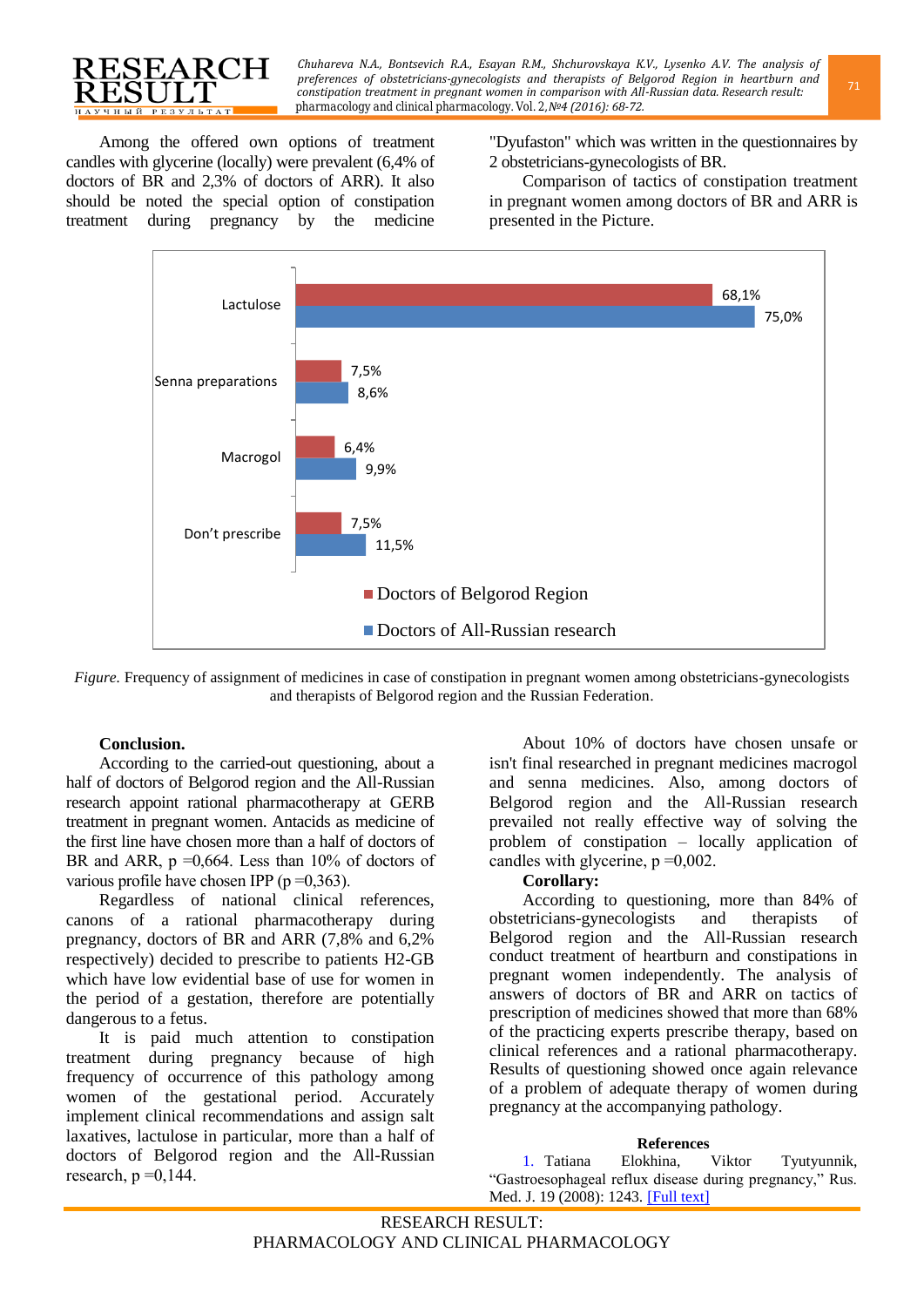

*Chuhareva N.A., Bontsevich R.A., Esayan R.M., Shchurovskaya K.V., Lysenko A.V. The analysis of preferences of obstetricians-gynecologists and therapists of Belgorod Region in heartburn and* <sup>71</sup> *pharmacology and clinical pharmacology. Vol. 2, №4 (2016): 68-72. constipation treatment in pregnant women in comparison with All-Russian data. Research result:* 

Among the offered own options of treatment candles with glycerine (locally) were prevalent (6,4% of doctors of BR and 2,3% of doctors of ARR). It also should be noted the special option of constipation treatment during pregnancy by the medicine

"Dyufaston" which was written in the questionnaires by 2 obstetricians-gynecologists of BR.

Comparison of tactics of constipation treatment in pregnant women among doctors of BR and ARR is presented in the Picture.



*Figure.* Frequency of assignment of medicines in case of constipation in pregnant women among obstetricians-gynecologists and therapists of Belgorod region and the Russian Federation.

## **Conclusion.**

According to the carried-out questioning, about a half of doctors of Belgorod region and the All-Russian research appoint rational pharmacotherapy at GERB treatment in pregnant women. Antacids as medicine of the first line have chosen more than a half of doctors of BR and ARR,  $p = 0.664$ . Less than 10% of doctors of various profile have chosen IPP ( $p = 0,363$ ).

Regardless of national clinical references, canons of a rational pharmacotherapy during pregnancy, doctors of BR and ARR (7,8% and 6,2% respectively) decided to prescribe to patients H2-GB which have low evidential base of use for women in the period of a gestation, therefore are potentially dangerous to a fetus.

It is paid much attention to constipation treatment during pregnancy because of high frequency of occurrence of this pathology among women of the gestational period. Accurately implement clinical recommendations and assign salt laxatives, lactulose in particular, more than a half of doctors of Belgorod region and the All-Russian research,  $p = 0,144$ .

About 10% of doctors have chosen unsafe or isn't final researched in pregnant medicines macrogol and senna medicines. Also, among doctors of Belgorod region and the All-Russian research prevailed not really effective way of solving the problem of constipation – locally application of candles with glycerine,  $p = 0.002$ .

### **Corollary:**

According to questioning, more than 84% of obstetricians-gynecologists and therapists of Belgorod region and the All-Russian research conduct treatment of heartburn and constipations in pregnant women independently. The analysis of answers of doctors of BR and ARR on tactics of prescription of medicines showed that more than 68% of the practicing experts prescribe therapy, based on clinical references and a rational pharmacotherapy. Results of questioning showed once again relevance of a problem of adequate therapy of women during pregnancy at the accompanying pathology.

<span id="page-3-0"></span>**References**<br>Elokhina, 1. Tatiana Elokhina, Viktor Tyutyunnik, "Gastroesophageal reflux disease during pregnancy," Rus. Med. J. 19 (2008): 1243. [\[Full](http://www.rmj.ru/articles/pediatriya/Gastroezofagealynaya_reflyuksnaya_bolezny_pri_beremennosti/) text]